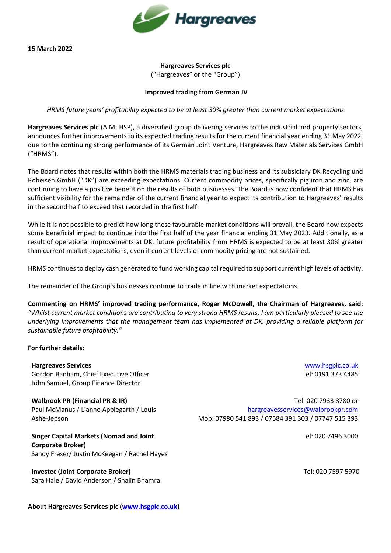

## **Hargreaves Services plc**  ("Hargreaves" or the "Group")

## **Improved trading from German JV**

*HRMS future years' profitability expected to be at least 30% greater than current market expectations*

**Hargreaves Services plc** (AIM: HSP), a diversified group delivering services to the industrial and property sectors, announces further improvements to its expected trading results for the current financial year ending 31 May 2022, due to the continuing strong performance of its German Joint Venture, Hargreaves Raw Materials Services GmbH ("HRMS").

The Board notes that results within both the HRMS materials trading business and its subsidiary DK Recycling und Roheisen GmbH ("DK") are exceeding expectations. Current commodity prices, specifically pig iron and zinc, are continuing to have a positive benefit on the results of both businesses. The Board is now confident that HRMS has sufficient visibility for the remainder of the current financial year to expect its contribution to Hargreaves' results in the second half to exceed that recorded in the first half.

While it is not possible to predict how long these favourable market conditions will prevail, the Board now expects some beneficial impact to continue into the first half of the year financial ending 31 May 2023. Additionally, as a result of operational improvements at DK, future profitability from HRMS is expected to be at least 30% greater than current market expectations, even if current levels of commodity pricing are not sustained.

HRMS continues to deploy cash generated to fund working capital required to support current high levels of activity.

The remainder of the Group's businesses continue to trade in line with market expectations.

**Commenting on HRMS' improved trading performance, Roger McDowell, the Chairman of Hargreaves, said:** *"Whilst current market conditions are contributing to very strong HRMS results, I am particularly pleased to see the underlying improvements that the management team has implemented at DK, providing a reliable platform for sustainable future profitability."*

## **For further details:**

**Hargreaves Services** Gordon Banham, Chief Executive Officer John Samuel, Group Finance Director

**Walbrook PR (Financial PR & IR)** Paul McManus / Lianne Applegarth / Louis Ashe-Jepson

**Singer Capital Markets (Nomad and Joint Corporate Broker)** Sandy Fraser/ Justin McKeegan / Rachel Hayes

**Investec (Joint Corporate Broker)** Sara Hale / David Anderson / Shalin Bhamra

[www.hsgplc.co.uk](http://www.hsgplc.co.uk/) Tel: 0191 373 4485

Tel: 020 7933 8780 or [hargreavesservices@walbrookpr.com](mailto:hargreavesservices@walbrookpr.com) Mob: 07980 541 893 / 07584 391 303 / 07747 515 393

Tel: 020 7496 3000

Tel: 020 7597 5970

**About Hargreaves Services plc [\(www.hsgplc.co.uk\)](http://www.hsgplc.co.uk/)**